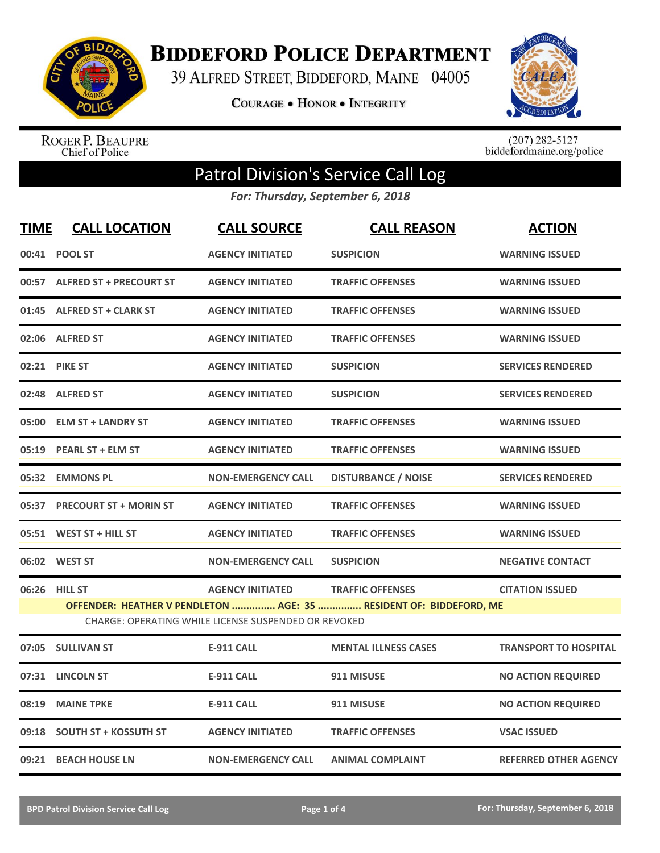

**BIDDEFORD POLICE DEPARTMENT** 

39 ALFRED STREET, BIDDEFORD, MAINE 04005

**COURAGE . HONOR . INTEGRITY** 



ROGER P. BEAUPRE<br>Chief of Police

 $(207)$  282-5127<br>biddefordmaine.org/police

## Patrol Division's Service Call Log

*For: Thursday, September 6, 2018*

| <b>TIME</b> | <b>CALL LOCATION</b>                                                                                                       | <b>CALL SOURCE</b>        | <b>CALL REASON</b>          | <b>ACTION</b>                |  |  |
|-------------|----------------------------------------------------------------------------------------------------------------------------|---------------------------|-----------------------------|------------------------------|--|--|
|             | 00:41 POOL ST                                                                                                              | <b>AGENCY INITIATED</b>   | <b>SUSPICION</b>            | <b>WARNING ISSUED</b>        |  |  |
|             | 00:57 ALFRED ST + PRECOURT ST                                                                                              | <b>AGENCY INITIATED</b>   | <b>TRAFFIC OFFENSES</b>     | <b>WARNING ISSUED</b>        |  |  |
|             | 01:45 ALFRED ST + CLARK ST                                                                                                 | <b>AGENCY INITIATED</b>   | <b>TRAFFIC OFFENSES</b>     | <b>WARNING ISSUED</b>        |  |  |
|             | 02:06 ALFRED ST                                                                                                            | <b>AGENCY INITIATED</b>   | <b>TRAFFIC OFFENSES</b>     | <b>WARNING ISSUED</b>        |  |  |
|             | 02:21 PIKE ST                                                                                                              | <b>AGENCY INITIATED</b>   | <b>SUSPICION</b>            | <b>SERVICES RENDERED</b>     |  |  |
|             | 02:48 ALFRED ST                                                                                                            | <b>AGENCY INITIATED</b>   | <b>SUSPICION</b>            | <b>SERVICES RENDERED</b>     |  |  |
| 05:00       | <b>ELM ST + LANDRY ST</b>                                                                                                  | <b>AGENCY INITIATED</b>   | <b>TRAFFIC OFFENSES</b>     | <b>WARNING ISSUED</b>        |  |  |
|             | 05:19 PEARL ST + ELM ST                                                                                                    | <b>AGENCY INITIATED</b>   | <b>TRAFFIC OFFENSES</b>     | <b>WARNING ISSUED</b>        |  |  |
|             | 05:32 EMMONS PL                                                                                                            | <b>NON-EMERGENCY CALL</b> | <b>DISTURBANCE / NOISE</b>  | <b>SERVICES RENDERED</b>     |  |  |
|             | 05:37 PRECOURT ST + MORIN ST                                                                                               | <b>AGENCY INITIATED</b>   | <b>TRAFFIC OFFENSES</b>     | <b>WARNING ISSUED</b>        |  |  |
|             | 05:51 WEST ST + HILL ST                                                                                                    | <b>AGENCY INITIATED</b>   | <b>TRAFFIC OFFENSES</b>     | <b>WARNING ISSUED</b>        |  |  |
|             | 06:02 WEST ST                                                                                                              | <b>NON-EMERGENCY CALL</b> | <b>SUSPICION</b>            | <b>NEGATIVE CONTACT</b>      |  |  |
| 06:26       | <b>HILL ST</b>                                                                                                             | <b>AGENCY INITIATED</b>   | <b>TRAFFIC OFFENSES</b>     | <b>CITATION ISSUED</b>       |  |  |
|             | OFFENDER: HEATHER V PENDLETON  AGE: 35  RESIDENT OF: BIDDEFORD, ME<br>CHARGE: OPERATING WHILE LICENSE SUSPENDED OR REVOKED |                           |                             |                              |  |  |
|             | 07:05 SULLIVAN ST                                                                                                          | <b>E-911 CALL</b>         | <b>MENTAL ILLNESS CASES</b> | <b>TRANSPORT TO HOSPITAL</b> |  |  |
| 07:31       | <b>LINCOLN ST</b>                                                                                                          | <b>E-911 CALL</b>         | 911 MISUSE                  | <b>NO ACTION REQUIRED</b>    |  |  |
| 08:19       | <b>MAINE TPKE</b>                                                                                                          | <b>E-911 CALL</b>         | 911 MISUSE                  | <b>NO ACTION REQUIRED</b>    |  |  |
| 09:18       | <b>SOUTH ST + KOSSUTH ST</b>                                                                                               | <b>AGENCY INITIATED</b>   | <b>TRAFFIC OFFENSES</b>     | <b>VSAC ISSUED</b>           |  |  |
|             | 09:21 BEACH HOUSE LN                                                                                                       | <b>NON-EMERGENCY CALL</b> | <b>ANIMAL COMPLAINT</b>     | <b>REFERRED OTHER AGENCY</b> |  |  |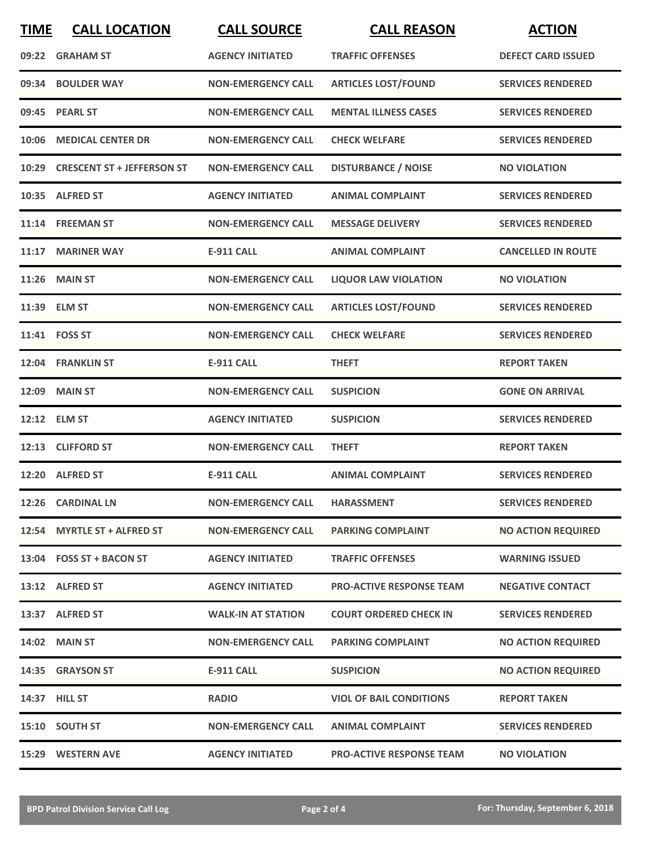| <b>TIME</b> | <b>CALL LOCATION</b>             | <b>CALL SOURCE</b>        | <b>CALL REASON</b>              | <b>ACTION</b>             |
|-------------|----------------------------------|---------------------------|---------------------------------|---------------------------|
|             | 09:22 GRAHAM ST                  | <b>AGENCY INITIATED</b>   | <b>TRAFFIC OFFENSES</b>         | <b>DEFECT CARD ISSUED</b> |
|             | 09:34 BOULDER WAY                | <b>NON-EMERGENCY CALL</b> | <b>ARTICLES LOST/FOUND</b>      | <b>SERVICES RENDERED</b>  |
|             | 09:45 PEARL ST                   | <b>NON-EMERGENCY CALL</b> | <b>MENTAL ILLNESS CASES</b>     | <b>SERVICES RENDERED</b>  |
|             | 10:06 MEDICAL CENTER DR          | <b>NON-EMERGENCY CALL</b> | <b>CHECK WELFARE</b>            | <b>SERVICES RENDERED</b>  |
|             | 10:29 CRESCENT ST + JEFFERSON ST | <b>NON-EMERGENCY CALL</b> | <b>DISTURBANCE / NOISE</b>      | <b>NO VIOLATION</b>       |
|             | 10:35 ALFRED ST                  | <b>AGENCY INITIATED</b>   | <b>ANIMAL COMPLAINT</b>         | <b>SERVICES RENDERED</b>  |
|             | 11:14 FREEMAN ST                 | <b>NON-EMERGENCY CALL</b> | <b>MESSAGE DELIVERY</b>         | <b>SERVICES RENDERED</b>  |
|             | 11:17 MARINER WAY                | <b>E-911 CALL</b>         | <b>ANIMAL COMPLAINT</b>         | <b>CANCELLED IN ROUTE</b> |
|             | <b>11:26 MAIN ST</b>             | <b>NON-EMERGENCY CALL</b> | <b>LIQUOR LAW VIOLATION</b>     | <b>NO VIOLATION</b>       |
|             | 11:39 ELM ST                     | <b>NON-EMERGENCY CALL</b> | <b>ARTICLES LOST/FOUND</b>      | <b>SERVICES RENDERED</b>  |
|             | 11:41 FOSS ST                    | <b>NON-EMERGENCY CALL</b> | <b>CHECK WELFARE</b>            | <b>SERVICES RENDERED</b>  |
|             | 12:04 FRANKLIN ST                | <b>E-911 CALL</b>         | <b>THEFT</b>                    | <b>REPORT TAKEN</b>       |
| 12:09       | <b>MAIN ST</b>                   | <b>NON-EMERGENCY CALL</b> | <b>SUSPICION</b>                | <b>GONE ON ARRIVAL</b>    |
|             | 12:12 ELM ST                     | <b>AGENCY INITIATED</b>   | <b>SUSPICION</b>                | <b>SERVICES RENDERED</b>  |
|             | 12:13 CLIFFORD ST                | <b>NON-EMERGENCY CALL</b> | <b>THEFT</b>                    | <b>REPORT TAKEN</b>       |
|             | 12:20 ALFRED ST                  | <b>E-911 CALL</b>         | <b>ANIMAL COMPLAINT</b>         | <b>SERVICES RENDERED</b>  |
|             | 12:26 CARDINAL LN                | <b>NON-EMERGENCY CALL</b> | <b>HARASSMENT</b>               | <b>SERVICES RENDERED</b>  |
|             | 12:54 MYRTLE ST + ALFRED ST      | <b>NON-EMERGENCY CALL</b> | <b>PARKING COMPLAINT</b>        | <b>NO ACTION REQUIRED</b> |
|             | 13:04 FOSS ST + BACON ST         | <b>AGENCY INITIATED</b>   | <b>TRAFFIC OFFENSES</b>         | <b>WARNING ISSUED</b>     |
|             | 13:12 ALFRED ST                  | <b>AGENCY INITIATED</b>   | <b>PRO-ACTIVE RESPONSE TEAM</b> | <b>NEGATIVE CONTACT</b>   |
|             | 13:37 ALFRED ST                  | <b>WALK-IN AT STATION</b> | <b>COURT ORDERED CHECK IN</b>   | <b>SERVICES RENDERED</b>  |
|             | 14:02 MAIN ST                    | <b>NON-EMERGENCY CALL</b> | <b>PARKING COMPLAINT</b>        | <b>NO ACTION REQUIRED</b> |
|             | 14:35 GRAYSON ST                 | <b>E-911 CALL</b>         | <b>SUSPICION</b>                | <b>NO ACTION REQUIRED</b> |
|             | 14:37 HILL ST                    | <b>RADIO</b>              | <b>VIOL OF BAIL CONDITIONS</b>  | <b>REPORT TAKEN</b>       |
|             | 15:10 SOUTH ST                   | <b>NON-EMERGENCY CALL</b> | <b>ANIMAL COMPLAINT</b>         | <b>SERVICES RENDERED</b>  |
|             | 15:29 WESTERN AVE                | <b>AGENCY INITIATED</b>   | <b>PRO-ACTIVE RESPONSE TEAM</b> | <b>NO VIOLATION</b>       |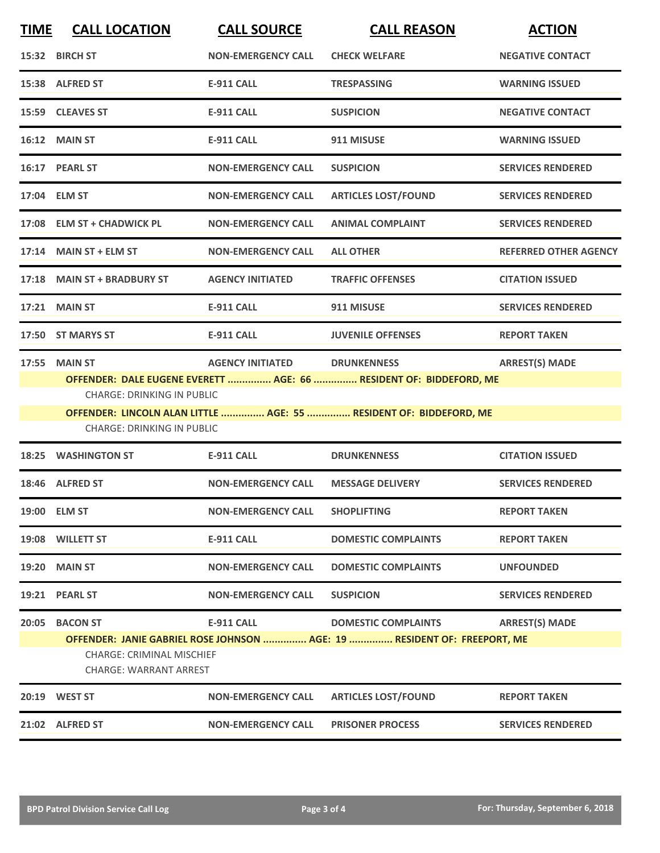| <b>TIME</b> | <b>CALL LOCATION</b>                                                                                                                                                                                                                                                                                                 | <b>CALL SOURCE</b>        | <b>CALL REASON</b>                                                                                     | <b>ACTION</b>                |  |
|-------------|----------------------------------------------------------------------------------------------------------------------------------------------------------------------------------------------------------------------------------------------------------------------------------------------------------------------|---------------------------|--------------------------------------------------------------------------------------------------------|------------------------------|--|
|             | 15:32 BIRCH ST                                                                                                                                                                                                                                                                                                       | <b>NON-EMERGENCY CALL</b> | <b>CHECK WELFARE</b>                                                                                   | <b>NEGATIVE CONTACT</b>      |  |
|             | 15:38 ALFRED ST                                                                                                                                                                                                                                                                                                      | <b>E-911 CALL</b>         | <b>TRESPASSING</b>                                                                                     | <b>WARNING ISSUED</b>        |  |
|             | 15:59 CLEAVES ST                                                                                                                                                                                                                                                                                                     | <b>E-911 CALL</b>         | <b>SUSPICION</b>                                                                                       | <b>NEGATIVE CONTACT</b>      |  |
|             | <b>16:12 MAIN ST</b>                                                                                                                                                                                                                                                                                                 | <b>E-911 CALL</b>         | 911 MISUSE                                                                                             | <b>WARNING ISSUED</b>        |  |
|             | 16:17 PEARL ST                                                                                                                                                                                                                                                                                                       | <b>NON-EMERGENCY CALL</b> | <b>SUSPICION</b>                                                                                       | <b>SERVICES RENDERED</b>     |  |
|             | 17:04 ELM ST                                                                                                                                                                                                                                                                                                         | <b>NON-EMERGENCY CALL</b> | <b>ARTICLES LOST/FOUND</b>                                                                             | <b>SERVICES RENDERED</b>     |  |
|             | 17:08 ELM ST + CHADWICK PL                                                                                                                                                                                                                                                                                           | <b>NON-EMERGENCY CALL</b> | <b>ANIMAL COMPLAINT</b>                                                                                | <b>SERVICES RENDERED</b>     |  |
|             | 17:14 MAIN ST + ELM ST                                                                                                                                                                                                                                                                                               | <b>NON-EMERGENCY CALL</b> | <b>ALL OTHER</b>                                                                                       | <b>REFERRED OTHER AGENCY</b> |  |
|             | 17:18 MAIN ST + BRADBURY ST                                                                                                                                                                                                                                                                                          | <b>AGENCY INITIATED</b>   | <b>TRAFFIC OFFENSES</b>                                                                                | <b>CITATION ISSUED</b>       |  |
|             | <b>17:21 MAIN ST</b>                                                                                                                                                                                                                                                                                                 | <b>E-911 CALL</b>         | 911 MISUSE                                                                                             | <b>SERVICES RENDERED</b>     |  |
|             | 17:50 ST MARYS ST                                                                                                                                                                                                                                                                                                    | <b>E-911 CALL</b>         | <b>JUVENILE OFFENSES</b>                                                                               | <b>REPORT TAKEN</b>          |  |
|             | <b>AGENCY INITIATED</b><br><b>ARREST(S) MADE</b><br><b>17:55 MAIN ST</b><br><b>DRUNKENNESS</b><br>OFFENDER: DALE EUGENE EVERETT  AGE: 66  RESIDENT OF: BIDDEFORD, ME<br><b>CHARGE: DRINKING IN PUBLIC</b><br>OFFENDER: LINCOLN ALAN LITTLE  AGE: 55  RESIDENT OF: BIDDEFORD, ME<br><b>CHARGE: DRINKING IN PUBLIC</b> |                           |                                                                                                        |                              |  |
| 18:25       | <b>WASHINGTON ST</b>                                                                                                                                                                                                                                                                                                 | <b>E-911 CALL</b>         | <b>DRUNKENNESS</b>                                                                                     | <b>CITATION ISSUED</b>       |  |
|             | 18:46 ALFRED ST                                                                                                                                                                                                                                                                                                      | <b>NON-EMERGENCY CALL</b> | <b>MESSAGE DELIVERY</b>                                                                                | <b>SERVICES RENDERED</b>     |  |
|             | 19:00 ELM ST                                                                                                                                                                                                                                                                                                         | <b>NON-EMERGENCY CALL</b> | <b>SHOPLIFTING</b>                                                                                     | <b>REPORT TAKEN</b>          |  |
|             | 19:08 WILLETT ST                                                                                                                                                                                                                                                                                                     | <b>E-911 CALL</b>         | <b>DOMESTIC COMPLAINTS</b>                                                                             | <b>REPORT TAKEN</b>          |  |
|             | 19:20 MAIN ST                                                                                                                                                                                                                                                                                                        | <b>NON-EMERGENCY CALL</b> | <b>DOMESTIC COMPLAINTS</b>                                                                             | <b>UNFOUNDED</b>             |  |
|             | 19:21 PEARL ST                                                                                                                                                                                                                                                                                                       | <b>NON-EMERGENCY CALL</b> | <b>SUSPICION</b>                                                                                       | <b>SERVICES RENDERED</b>     |  |
|             | 20:05 BACON ST<br><b>CHARGE: CRIMINAL MISCHIEF</b><br><b>CHARGE: WARRANT ARREST</b>                                                                                                                                                                                                                                  | <b>E-911 CALL</b>         | <b>DOMESTIC COMPLAINTS</b><br>OFFENDER: JANIE GABRIEL ROSE JOHNSON  AGE: 19  RESIDENT OF: FREEPORT, ME | <b>ARREST(S) MADE</b>        |  |
|             | 20:19 WEST ST                                                                                                                                                                                                                                                                                                        | <b>NON-EMERGENCY CALL</b> | <b>ARTICLES LOST/FOUND</b>                                                                             | <b>REPORT TAKEN</b>          |  |
|             | 21:02 ALFRED ST                                                                                                                                                                                                                                                                                                      | <b>NON-EMERGENCY CALL</b> | <b>PRISONER PROCESS</b>                                                                                | <b>SERVICES RENDERED</b>     |  |